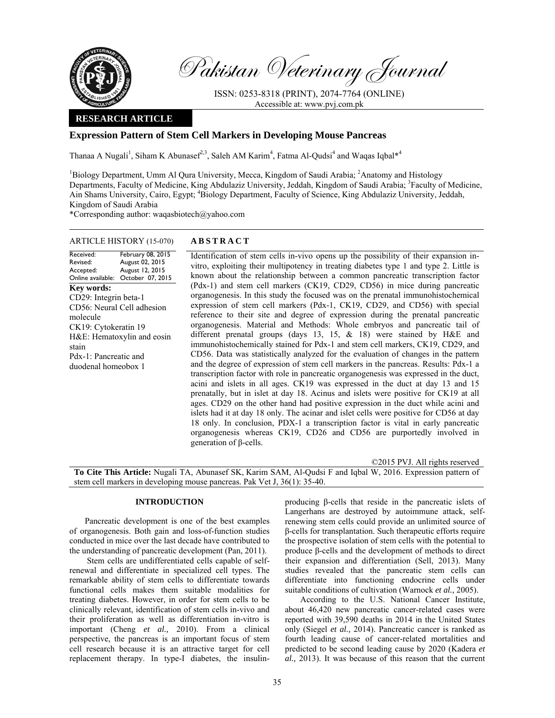

Pakistan Veterinary Journal

ISSN: 0253-8318 (PRINT), 2074-7764 (ONLINE) Accessible at: www.pvj.com.pk

## **RESEARCH ARTICLE**

# **Expression Pattern of Stem Cell Markers in Developing Mouse Pancreas**

Thanaa A Nugali<sup>1</sup>, Siham K Abunasef<sup>2,3</sup>, Saleh AM Karim<sup>4</sup>, Fatma Al-Qudsi<sup>4</sup> and Waqas Iqbal\*<sup>4</sup>

<sup>1</sup>Biology Department, Umm Al Qura University, Mecca, Kingdom of Saudi Arabia; <sup>2</sup>Anatomy and Histology Departments, Faculty of Medicine, King Abdulaziz University, Jeddah, Kingdom of Saudi Arabia; <sup>3</sup>Faculty of Medicine, Ain Shams University, Cairo, Egypt; <sup>4</sup>Biology Department, Faculty of Science, King Abdulaziz University, Jeddah, Kingdom of Saudi Arabia

\*Corresponding author: waqasbiotech@yahoo.com

## ARTICLE HISTORY (15-070) **ABSTRACT**

Received: Revised: Accepted: Online available: February 08, 2015 August 02, 2015 August 12, 2015 October 07, 2015 **Key words:**  CD29: Integrin beta-1 CD56: Neural Cell adhesion molecule CK19: Cytokeratin 19 H&E: Hematoxylin and eosin stain Pdx-1: Pancreatic and duodenal homeobox 1

 Identification of stem cells in-vivo opens up the possibility of their expansion invitro, exploiting their multipotency in treating diabetes type 1 and type 2. Little is known about the relationship between a common pancreatic transcription factor (Pdx-1) and stem cell markers (CK19, CD29, CD56) in mice during pancreatic organogenesis. In this study the focused was on the prenatal immunohistochemical expression of stem cell markers (Pdx-1, CK19, CD29, and CD56) with special reference to their site and degree of expression during the prenatal pancreatic organogenesis. Material and Methods: Whole embryos and pancreatic tail of different prenatal groups (days 13, 15, & 18) were stained by H&E and immunohistochemically stained for Pdx-1 and stem cell markers, CK19, CD29, and CD56. Data was statistically analyzed for the evaluation of changes in the pattern and the degree of expression of stem cell markers in the pancreas. Results: Pdx-1 a transcription factor with role in pancreatic organogenesis was expressed in the duct, acini and islets in all ages. CK19 was expressed in the duct at day 13 and 15 prenatally, but in islet at day 18. Acinus and islets were positive for CK19 at all ages. CD29 on the other hand had positive expression in the duct while acini and islets had it at day 18 only. The acinar and islet cells were positive for CD56 at day 18 only. In conclusion, PDX-1 a transcription factor is vital in early pancreatic organogenesis whereas CK19, CD26 and CD56 are purportedly involved in generation of β-cells.

©2015 PVJ. All rights reserved

**To Cite This Article:** Nugali TA, Abunasef SK, Karim SAM, Al-Qudsi F and Iqbal W, 2016. Expression pattern of stem cell markers in developing mouse pancreas. Pak Vet J, 36(1): 35-40.

## **INTRODUCTION**

Pancreatic development is one of the best examples of organogenesis. Both gain and loss-of-function studies conducted in mice over the last decade have contributed to the understanding of pancreatic development (Pan, 2011).

 Stem cells are undifferentiated cells capable of selfrenewal and differentiate in specialized cell types. The remarkable ability of stem cells to differentiate towards functional cells makes them suitable modalities for treating diabetes. However, in order for stem cells to be clinically relevant, identification of stem cells in-vivo and their proliferation as well as differentiation in-vitro is important (Cheng *et al.,* 2010). From a clinical perspective, the pancreas is an important focus of stem cell research because it is an attractive target for cell replacement therapy. In type-I diabetes, the insulinproducing β-cells that reside in the pancreatic islets of Langerhans are destroyed by autoimmune attack, selfrenewing stem cells could provide an unlimited source of β-cells for transplantation. Such therapeutic efforts require the prospective isolation of stem cells with the potential to produce β-cells and the development of methods to direct their expansion and differentiation (Sell, 2013). Many studies revealed that the pancreatic stem cells can differentiate into functioning endocrine cells under suitable conditions of cultivation (Warnock *et al.,* 2005).

According to the U.S. National Cancer Institute, about 46,420 new pancreatic cancer-related cases were reported with 39,590 deaths in 2014 in the United States only (Siegel *et al.,* 2014). Pancreatic cancer is ranked as fourth leading cause of cancer-related mortalities and predicted to be second leading cause by 2020 (Kadera *et al.,* 2013). It was because of this reason that the current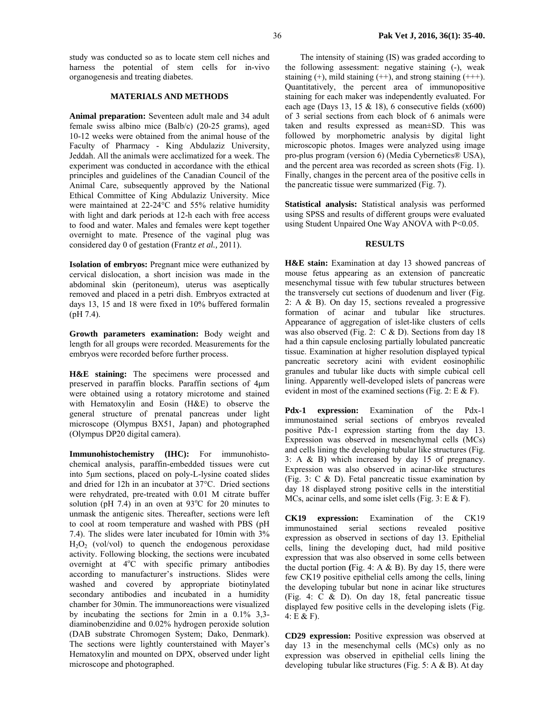study was conducted so as to locate stem cell niches and harness the potential of stem cells for in-vivo organogenesis and treating diabetes.

### **MATERIALS AND METHODS**

**Animal preparation:** Seventeen adult male and 34 adult female swiss albino mice (Balb/c) (20-25 grams), aged 10-12 weeks were obtained from the animal house of the Faculty of Pharmacy - King Abdulaziz University, Jeddah. All the animals were acclimatized for a week. The experiment was conducted in accordance with the ethical principles and guidelines of the Canadian Council of the Animal Care, subsequently approved by the National Ethical Committee of King Abdulaziz University. Mice were maintained at 22-24°C and 55% relative humidity with light and dark periods at 12-h each with free access to food and water. Males and females were kept together overnight to mate. Presence of the vaginal plug was considered day 0 of gestation (Frantz *et al.,* 2011).

**Isolation of embryos:** Pregnant mice were euthanized by cervical dislocation, a short incision was made in the abdominal skin (peritoneum), uterus was aseptically removed and placed in a petri dish. Embryos extracted at days 13, 15 and 18 were fixed in 10% buffered formalin (pH 7.4).

**Growth parameters examination:** Body weight and length for all groups were recorded. Measurements for the embryos were recorded before further process.

**H&E staining:** The specimens were processed and preserved in paraffin blocks. Paraffin sections of 4µm were obtained using a rotatory microtome and stained with Hematoxylin and Eosin (H&E) to observe the general structure of prenatal pancreas under light microscope (Olympus BX51, Japan) and photographed (Olympus DP20 digital camera).

**Immunohistochemistry (IHC):** For immunohistochemical analysis, paraffin-embedded tissues were cut into 5µm sections, placed on poly-L-lysine coated slides and dried for 12h in an incubator at 37°C. Dried sections were rehydrated, pre-treated with 0.01 M citrate buffer solution (pH 7.4) in an oven at  $93^{\circ}$ C for 20 minutes to unmask the antigenic sites. Thereafter, sections were left to cool at room temperature and washed with PBS (pH 7.4). The slides were later incubated for 10min with 3%  $H_2O_2$  (vol/vol) to quench the endogenous peroxidase activity. Following blocking, the sections were incubated overnight at  $4^{\circ}$ C with specific primary antibodies according to manufacturer's instructions. Slides were washed and covered by appropriate biotinylated secondary antibodies and incubated in a humidity chamber for 30min. The immunoreactions were visualized by incubating the sections for 2min in a 0.1% 3,3 diaminobenzidine and 0.02% hydrogen peroxide solution (DAB substrate Chromogen System; Dako, Denmark). The sections were lightly counterstained with Mayer's Hematoxylin and mounted on DPX, observed under light microscope and photographed.

The intensity of staining (IS) was graded according to the following assessment: negative staining (-), weak staining  $(+)$ , mild staining  $(++)$ , and strong staining  $(++)$ . Quantitatively, the percent area of immunopositive staining for each maker was independently evaluated. For each age (Days 13, 15  $&$  18), 6 consecutive fields (x600) of 3 serial sections from each block of 6 animals were taken and results expressed as mean±SD. This was followed by morphometric analysis by digital light microscopic photos. Images were analyzed using image pro-plus program (version 6) (Media Cybernetics® USA), and the percent area was recorded as screen shots (Fig. 1). Finally, changes in the percent area of the positive cells in the pancreatic tissue were summarized (Fig. 7).

**Statistical analysis:** Statistical analysis was performed using SPSS and results of different groups were evaluated using Student Unpaired One Way ANOVA with P<0.05.

## **RESULTS**

**H&E stain:** Examination at day 13 showed pancreas of mouse fetus appearing as an extension of pancreatic mesenchymal tissue with few tubular structures between the transversely cut sections of duodenum and liver (Fig. 2: A & B). On day 15, sections revealed a progressive formation of acinar and tubular like structures. Appearance of aggregation of islet-like clusters of cells was also observed (Fig. 2:  $C & D$ ). Sections from day 18 had a thin capsule enclosing partially lobulated pancreatic tissue. Examination at higher resolution displayed typical pancreatic secretory acini with evident eosinophilic granules and tubular like ducts with simple cubical cell lining. Apparently well-developed islets of pancreas were evident in most of the examined sections (Fig. 2: E  $\&$  F).

Pdx-1 expression: Examination of the Pdx-1 immunostained serial sections of embryos revealed positive Pdx-1 expression starting from the day 13. Expression was observed in mesenchymal cells (MCs) and cells lining the developing tubular like structures (Fig. 3: A & B) which increased by day 15 of pregnancy. Expression was also observed in acinar-like structures (Fig. 3: C & D). Fetal pancreatic tissue examination by day 18 displayed strong positive cells in the interstitial MCs, acinar cells, and some islet cells (Fig. 3: E & F).

**CK19 expression:** Examination of the CK19 immunostained serial sections revealed positive expression as observed in sections of day 13. Epithelial cells, lining the developing duct, had mild positive expression that was also observed in some cells between the ductal portion (Fig. 4:  $A \& B$ ). By day 15, there were few CK19 positive epithelial cells among the cells, lining the developing tubular but none in acinar like structures (Fig. 4: C & D). On day 18, fetal pancreatic tissue displayed few positive cells in the developing islets (Fig. 4: E & F).

**CD29 expression:** Positive expression was observed at day 13 in the mesenchymal cells (MCs) only as no expression was observed in epithelial cells lining the developing tubular like structures (Fig. 5: A  $\&$  B). At day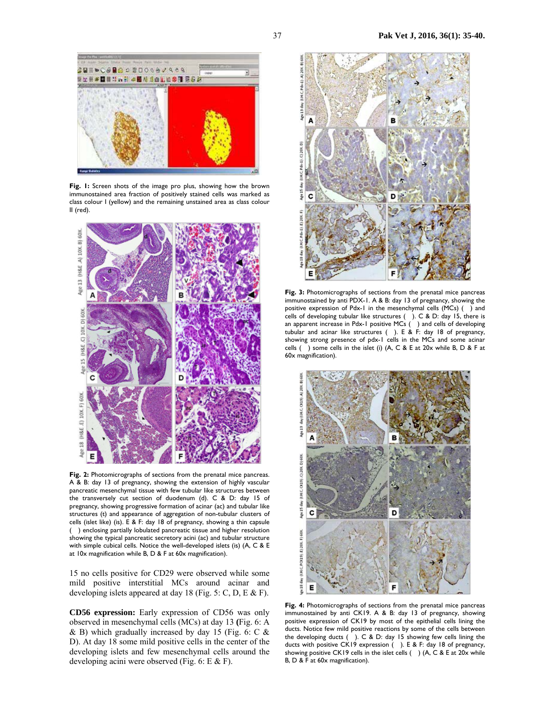

**Fig. 1:** Screen shots of the image pro plus, showing how the brown immunostained area fraction of positively stained cells was marked as class colour I (yellow) and the remaining unstained area as class colour II (red).



**Fig. 2:** Photomicrographs of sections from the prenatal mice pancreas. A & B: day 13 of pregnancy, showing the extension of highly vascular pancreatic mesenchymal tissue with few tubular like structures between the transversely cut section of duodenum (d). C & D: day 15 of pregnancy, showing progressive formation of acinar (ac) and tubular like structures (t) and appearance of aggregation of non-tubular clusters of cells (islet like) (is). E & F: day 18 of pregnancy, showing a thin capsule () enclosing partially lobulated pancreatic tissue and higher resolution showing the typical pancreatic secretory acini (ac) and tubular structure with simple cubical cells. Notice the well-developed islets (is) (A, C & E at 10x magnification while B, D & F at 60x magnification).

15 no cells positive for CD29 were observed while some mild positive interstitial MCs around acinar and developing islets appeared at day 18 (Fig. 5: C, D, E & F).

**CD56 expression:** Early expression of CD56 was only observed in mesenchymal cells (MCs) at day 13 **(**Fig. 6: A  $\&$  B) which gradually increased by day 15 (Fig. 6: C  $\&$ D). At day 18 some mild positive cells in the center of the developing islets and few mesenchymal cells around the developing acini were observed (Fig. 6: E & F).



**Fig. 3:** Photomicrographs of sections from the prenatal mice pancreas immunostained by anti PDX-1. A & B: day 13 of pregnancy, showing the positive expression of Pdx-1 in the mesenchymal cells (MCs) () and cells of developing tubular like structures  $($ ). C & D: day 15, there is an apparent increase in Pdx-1 positive MCs () and cells of developing tubular and acinar like structures (). E & F: day 18 of pregnancy, showing strong presence of pdx-1 cells in the MCs and some acinar cells () some cells in the islet (i) (A, C & E at 20x while B, D & F at 60x magnification).



**Fig. 4:** Photomicrographs of sections from the prenatal mice pancreas immunostained by anti CK19. A & B: day 13 of pregnancy, showing positive expression of CK19 by most of the epithelial cells lining the ducts. Notice few mild positive reactions by some of the cells between the developing ducts (). C & D: day 15 showing few cells lining the ducts with positive CK19 expression (). E & F: day 18 of pregnancy, showing positive CK19 cells in the islet cells () (A, C & E at 20x while B, D & F at 60x magnification).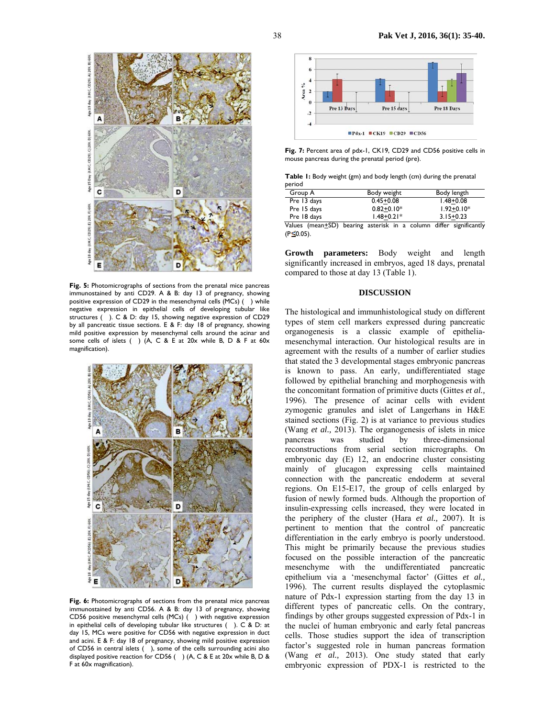

**Fig. 5:** Photomicrographs of sections from the prenatal mice pancreas immunostained by anti CD29. A & B: day 13 of pregnancy, showing positive expression of CD29 in the mesenchymal cells  $(MCs)$  () while negative expression in epithelial cells of developing tubular like structures (). C & D: day 15, showing negative expression of CD29 by all pancreatic tissue sections. E & F: day 18 of pregnancy, showing mild positive expression by mesenchymal cells around the acinar and some cells of islets () (A, C & E at 20x while B, D & F at 60x magnification).



**Fig. 6:** Photomicrographs of sections from the prenatal mice pancreas immunostained by anti CD56. A & B: day 13 of pregnancy, showing CD56 positive mesenchymal cells (MCs) () with negative expression in epithelial cells of developing tubular like structures (). C & D: at day 15, MCs were positive for CD56 with negative expression in duct and acini. E & F: day 18 of pregnancy, showing mild positive expression of CD56 in central islets  $($   $)$ , some of the cells surrounding acini also displayed positive reaction for CD56 () (A, C & E at 20x while B, D & F at 60x magnification).



**Fig. 7:** Percent area of pdx-1, CK19, CD29 and CD56 positive cells in mouse pancreas during the prenatal period (pre).

**Table 1:** Body weight (gm) and body length (cm) during the prenatal period

| Group A     | Body weight                                                             | Body length    |
|-------------|-------------------------------------------------------------------------|----------------|
| Pre 13 days | $0.45 + 0.08$                                                           | $1.48 + 0.08$  |
| Pre 15 days | $0.82 + 0.10*$                                                          | $1.92 + 0.10*$ |
| Pre 18 days | $1.48 + 0.21*$                                                          | $3.15 + 0.23$  |
|             | Malina (maaa 100), kaaning aasaniali in a aalinga sliffan aigaifinaashi |                |

Values (mean+SD) bearing asterisk in a column differ significantly  $(P \le 0.05)$ .

**Growth parameters:** Body weight and length significantly increased in embryos, aged 18 days, prenatal compared to those at day 13 (Table 1).

## **DISCUSSION**

The histological and immunhistological study on different types of stem cell markers expressed during pancreatic organogenesis is a classic example of epitheliamesenchymal interaction. Our histological results are in agreement with the results of a number of earlier studies that stated the 3 developmental stages embryonic pancreas is known to pass. An early, undifferentiated stage followed by epithelial branching and morphogenesis with the concomitant formation of primitive ducts (Gittes *et al.,*  1996). The presence of acinar cells with evident zymogenic granules and islet of Langerhans in H&E stained sections (Fig. 2) is at variance to previous studies (Wang *et al.,* 2013). The organogenesis of islets in mice pancreas was studied by three-dimensional reconstructions from serial section micrographs. On embryonic day (E) 12, an endocrine cluster consisting mainly of glucagon expressing cells maintained connection with the pancreatic endoderm at several regions. On E15-E17, the group of cells enlarged by fusion of newly formed buds. Although the proportion of insulin-expressing cells increased, they were located in the periphery of the cluster (Hara *et al.,* 2007). It is pertinent to mention that the control of pancreatic differentiation in the early embryo is poorly understood. This might be primarily because the previous studies focused on the possible interaction of the pancreatic mesenchyme with the undifferentiated pancreatic epithelium via a 'mesenchymal factor' (Gittes *et al.,*  1996). The current results displayed the cytoplasmic nature of Pdx-1 expression starting from the day 13 in different types of pancreatic cells. On the contrary, findings by other groups suggested expression of Pdx-1 in the nuclei of human embryonic and early fetal pancreas cells. Those studies support the idea of transcription factor's suggested role in human pancreas formation (Wang *et al.,* 2013). One study stated that early embryonic expression of PDX-1 is restricted to the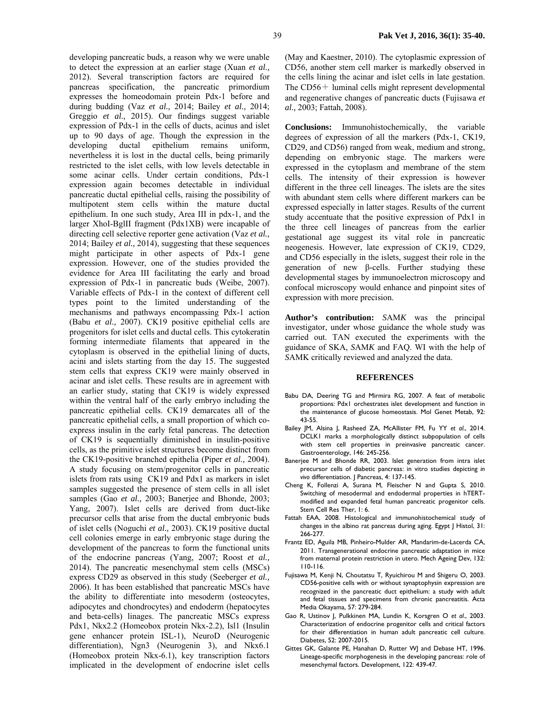developing pancreatic buds, a reason why we were unable to detect the expression at an earlier stage (Xuan *et al.,*  2012). Several transcription factors are required for pancreas specification, the pancreatic primordium expresses the homeodomain protein Pdx-1 before and during budding (Vaz *et al.,* 2014; Bailey *et al.,* 2014; Greggio *et al.,* 2015). Our findings suggest variable expression of Pdx-1 in the cells of ducts, acinus and islet up to 90 days of age. Though the expression in the developing ductal epithelium remains uniform, nevertheless it is lost in the ductal cells, being primarily restricted to the islet cells, with low levels detectable in some acinar cells. Under certain conditions, Pdx-1 expression again becomes detectable in individual pancreatic ductal epithelial cells, raising the possibility of multipotent stem cells within the mature ductal epithelium. In one such study, Area III in pdx-1, and the larger XhoI-BglII fragment (Pdx1XB) were incapable of directing cell selective reporter gene activation (Vaz *et al.,*  2014; Bailey *et al.,* 2014), suggesting that these sequences might participate in other aspects of Pdx-1 gene expression. However, one of the studies provided the evidence for Area III facilitating the early and broad expression of Pdx-1 in pancreatic buds (Weibe, 2007). Variable effects of Pdx-1 in the context of different cell types point to the limited understanding of the mechanisms and pathways encompassing Pdx-1 action (Babu *et al.,* 2007). CK19 positive epithelial cells are progenitors for islet cells and ductal cells. This cytokeratin forming intermediate filaments that appeared in the cytoplasm is observed in the epithelial lining of ducts, acini and islets starting from the day 15. The suggested stem cells that express CK19 were mainly observed in acinar and islet cells. These results are in agreement with an earlier study, stating that CK19 is widely expressed within the ventral half of the early embryo including the pancreatic epithelial cells. CK19 demarcates all of the pancreatic epithelial cells, a small proportion of which coexpress insulin in the early fetal pancreas. The detection of CK19 is sequentially diminished in insulin-positive cells, as the primitive islet structures become distinct from the CK19-positive branched epithelia (Piper *et al.,* 2004). A study focusing on stem/progenitor cells in pancreatic islets from rats using CK19 and Pdx1 as markers in islet samples suggested the presence of stem cells in all islet samples (Gao *et al.,* 2003; Banerjee and Bhonde, 2003; Yang, 2007). Islet cells are derived from duct-like precursor cells that arise from the ductal embryonic buds of islet cells (Noguchi *et al.,* 2003). CK19 positive ductal cell colonies emerge in early embryonic stage during the development of the pancreas to form the functional units of the endocrine pancreas (Yang, 2007; Roost *et al.,*  2014). The pancreatic mesenchymal stem cells (MSCs) express CD29 as observed in this study (Seeberger *et al.,*  2006). It has been established that pancreatic MSCs have the ability to differentiate into mesoderm (osteocytes, adipocytes and chondrocytes) and endoderm (hepatocytes and beta-cells) linages. The pancreatic MSCs express Pdx1, Nkx2.2 (Homeobox protein Nkx-2.2), Isl1 (Insulin gene enhancer protein ISL-1), NeuroD (Neurogenic differentiation), Ngn3 (Neurogenin 3), and Nkx6.1 (Homeobox protein Nkx-6.1), key transcription factors implicated in the development of endocrine islet cells

(May and Kaestner, 2010). The cytoplasmic expression of CD56, another stem cell marker is markedly observed in the cells lining the acinar and islet cells in late gestation. The CD56+ luminal cells might represent developmental and regenerative changes of pancreatic ducts (Fujisawa *et al.,* 2003; Fattah, 2008).

**Conclusions:** Immunohistochemically, the variable degrees of expression of all the markers (Pdx-1, CK19, CD29, and CD56) ranged from weak, medium and strong, depending on embryonic stage. The markers were expressed in the cytoplasm and membrane of the stem cells. The intensity of their expression is however different in the three cell lineages. The islets are the sites with abundant stem cells where different markers can be expressed especially in latter stages. Results of the current study accentuate that the positive expression of Pdx1 in the three cell lineages of pancreas from the earlier gestational age suggest its vital role in pancreatic neogenesis. However, late expression of CK19, CD29, and CD56 especially in the islets, suggest their role in the generation of new β-cells. Further studying these developmental stages by immunoelectron microscopy and confocal microscopy would enhance and pinpoint sites of expression with more precision.

**Author's contribution:** *S*AM*K* was the principal investigator, under whose guidance the whole study was carried out. TAN executed the experiments with the guidance of SKA, *S*AM*K* and FAQ. WI with the help of *S*AMK critically reviewed and analyzed the data.

#### **REFERENCES**

- Babu DA, Deering TG and Mirmira RG, 2007. A feat of metabolic proportions: Pdx1 orchestrates islet development and function in the maintenance of glucose homeostasis. Mol Genet Metab, 92: 43-55.
- Bailey JM, Alsina J, Rasheed ZA, McAllister FM, Fu YY *et al*., 2014. DCLK1 marks a morphologically distinct subpopulation of cells with stem cell properties in preinvasive pancreatic cancer. Gastroenterology, 146: 245-256.
- Banerjee M and Bhonde RR, 2003. Islet generation from intra islet precursor cells of diabetic pancreas: in vitro studies depicting *in vivo* differentiation. J Pancreas, 4: 137-145.
- Cheng K, Follenzi A, Surana M, Fleischer N and Gupta S, 2010. Switching of mesodermal and endodermal properties in hTERTmodified and expanded fetal human pancreatic progenitor cells. Stem Cell Res Ther, 1: 6.
- Fattah EAA, 2008. Histological and immunohistochemical study of changes in the albino rat pancreas during aging. Egypt J Histol, 31: 266-277.
- Frantz ED, Aguila MB, Pinheiro-Mulder AR, Mandarim-de-Lacerda CA, 2011. Transgenerational endocrine pancreatic adaptation in mice from maternal protein restriction in utero. Mech Ageing Dev, 132: 110-116.
- Fujisawa M, Kenji N, Choutatsu T, Ryuichirou M and Shigeru O, 2003. CD56-positive cells with or without synaptophysin expression are recognized in the pancreatic duct epithelium: a study with adult and fetal tissues and specimens from chronic pancreatitis. Acta Media Okayama, 57: 279-284.
- Gao R, Ustinov J, Pulkkinen MA, Lundin K, Korsgren O *et al*., 2003. Characterization of endocrine progenitor cells and critical factors for their differentiation in human adult pancreatic cell culture. Diabetes, 52: 2007-2015.
- Gittes GK, Galante PE, Hanahan D, Rutter WJ and Debase HT, 1996. Lineage-specific morphogenesis in the developing pancreas: role of mesenchymal factors. Development, 122: 439-47.